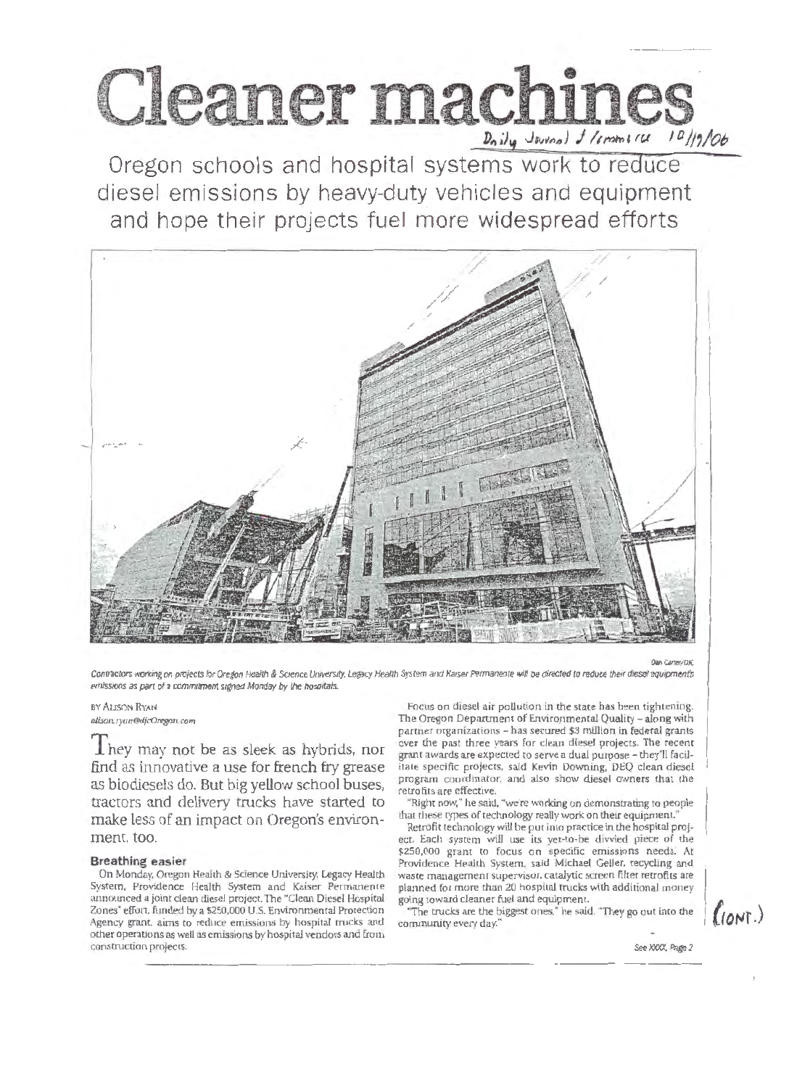

Oregon schools and hospital systems work to reduce diesel emissions by heavy-duty vehicles and equipment and hope their projects fuel more widespread efforts



Contractors working on projects for Oregon Health & Science University, Legacy Health System and Kaiser Permanente will be directed to reduce their diesel equipment's emissions as part of a commitment signed Monday by the hospitals.

BY ALISON RYAN alison.ryan@djcOregon.com

 $\rm T$ hey may not be as sleek as hybrids, nor find as innovative a use for french fry grease as biodiesels do. But big yellow school buses, tractors and delivery trucks have started to make less of an impact on Oregon's environment, too.

## **Breathing easier**

On Monday, Oregon Health & Science University, Legacy Health System, Providence Health System and Kaiser Permanente announced a joint clean diesel project. The "Clean Diesel Hospital Zones" effort, funded by a \$250,000 U.S. Environmental Protection Agency grant, aims to reduce emissions by hospital trucks and other operations as well as emissions by hospital vendors and from construction projects.

Focus on diesel air pollution in the state has been tightening. The Oregon Department of Environmental Quality - along with partner organizations - has secured \$3 million in federal grants over the past three years for clean diesel projects. The recent grant awards are expected to serve a dual purpose - they'll facilitate specific projects, said Kevin Downing, DEQ clean diesel program coordinator, and also show diesel owners that the retrofits are effective.

"Right now," he said, "we're working on demonstrating to people that these types of technology really work on their equipment."

Retrofit technology will be put into practice in the hospital project. Each system will use its yet-to-be divvied piece of the \$250,000 grant to focus on specific emissions needs. At Providence Health System, said Michael Geller, recycling and waste management supervisor, catalytic screen filter retrofits are planned for more than 20 hospital trucks with additional money going toward cleaner fuel and equipment.

"The trucks are the biggest ones," he said. "They go out into the community every day."